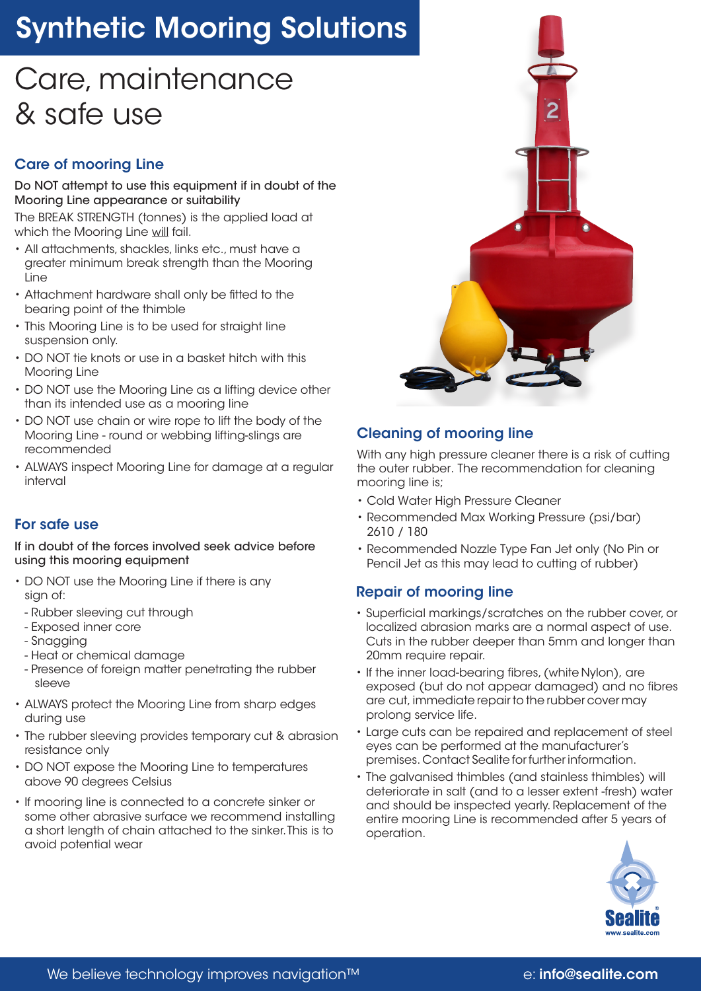# Synthetic Mooring Solutions

### Care, maintenance & safe use

### Care of mooring Line

Do NOT attempt to use this equipment if in doubt of the Mooring Line appearance or suitability

The BREAK STRENGTH (tonnes) is the applied load at which the Mooring Line will fail.

- All attachments, shackles, links etc., must have a greater minimum break strength than the Mooring Line
- Attachment hardware shall only be fitted to the bearing point of the thimble
- This Mooring Line is to be used for straight line suspension only.
- DO NOT tie knots or use in a basket hitch with this Mooring Line
- DO NOT use the Mooring Line as a lifting device other than its intended use as a mooring line
- DO NOT use chain or wire rope to lift the body of the Mooring Line - round or webbing lifting-slings are recommended
- ALWAYS inspect Mooring Line for damage at a regular interval

#### For safe use

If in doubt of the forces involved seek advice before using this mooring equipment

- DO NOT use the Mooring Line if there is any sian of:
- Rubber sleeving cut through
- Exposed inner core
- Snagging
- Heat or chemical damage
- Presence of foreign matter penetrating the rubber sleeve
- ALWAYS protect the Mooring Line from sharp edges during use
- The rubber sleeving provides temporary cut & abrasion resistance only
- DO NOT expose the Mooring Line to temperatures above 90 degrees Celsius
- If mooring line is connected to a concrete sinker or some other abrasive surface we recommend installing a short length of chain attached to the sinker. This is to avoid potential wear



#### Cleaning of mooring line

With any high pressure cleaner there is a risk of cutting the outer rubber. The recommendation for cleaning mooring line is;

- Cold Water High Pressure Cleaner
- Recommended Max Working Pressure (psi/bar) 2610 / 180
- Recommended Nozzle Type Fan Jet only (No Pin or Pencil Jet as this may lead to cutting of rubber)

#### Repair of mooring line

- Superficial markings/scratches on the rubber cover, or localized abrasion marks are a normal aspect of use. Cuts in the rubber deeper than 5mm and longer than 20mm require repair.
- If the inner load-bearing fibres, (white Nylon), are exposed (but do not appear damaged) and no fibres are cut, immediate repair to the rubber cover may prolong service life.
- Large cuts can be repaired and replacement of steel eyes can be performed at the manufacturer's premises. Contact Sealite for further information.
- The galvanised thimbles (and stainless thimbles) will deteriorate in salt (and to a lesser extent -fresh) water and should be inspected yearly. Replacement of the entire mooring Line is recommended after 5 years of operation.